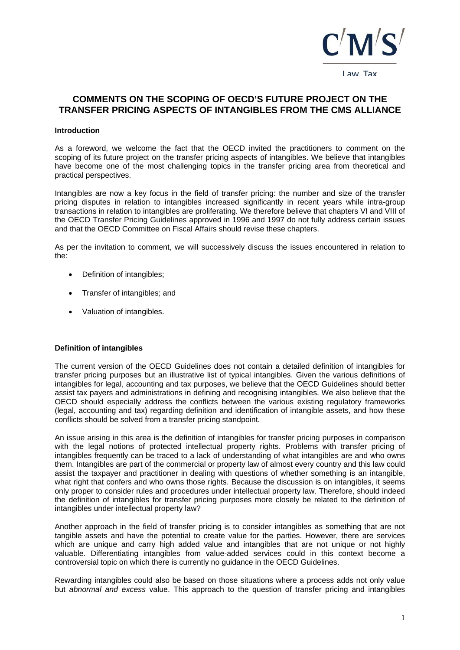

# COMMENTS ON THE SCOPING OF OFCD'S FUTURE PROJECT ON THE TRANSFER PRICING ASPECTS OF INTANGIBLES FROM THE CMS ALLIANCE

#### **Introduction**

As a foreword, we welcome the fact that the OECD invited the practitioners to comment on the scoping of its future project on the transfer pricing aspects of intangibles. We believe that intangibles have become one of the most challenging topics in the transfer pricing area from theoretical and practical perspectives.

Intangibles are now a key focus in the field of transfer pricing: the number and size of the transfer pricing disputes in relation to intangibles increased significantly in recent years while intra-group transactions in relation to intangibles are proliferating. We therefore believe that chapters VI and VIII of the OECD Transfer Pricing Guidelines approved in 1996 and 1997 do not fully address certain issues and that the OECD Committee on Fiscal Affairs should revise these chapters.

As per the invitation to comment, we will successively discuss the issues encountered in relation to the:

- Definition of intangibles;
- Transfer of intangibles; and
- Valuation of intangibles.

#### **Definition of intangibles**

The current version of the OECD Guidelines does not contain a detailed definition of intangibles for transfer pricing purposes but an illustrative list of typical intangibles. Given the various definitions of intangibles for legal, accounting and tax purposes, we believe that the OECD Guidelines should better assist tax payers and administrations in defining and recognising intangibles. We also believe that the OECD should especially address the conflicts between the various existing regulatory frameworks (legal, accounting and tax) regarding definition and identification of intangible assets, and how these conflicts should be solved from a transfer pricing standpoint.

An issue arising in this area is the definition of intangibles for transfer pricing purposes in comparison with the legal notions of protected intellectual property rights. Problems with transfer pricing of intangibles frequently can be traced to a lack of understanding of what intangibles are and who owns them. Intangibles are part of the commercial or property law of almost every country and this law could assist the taxpayer and practitioner in dealing with questions of whether something is an intangible, what right that confers and who owns those rights. Because the discussion is on intangibles, it seems only proper to consider rules and procedures under intellectual property law. Therefore, should indeed the definition of intangibles for transfer pricing purposes more closely be related to the definition of intangibles under intellectual property law?

Another approach in the field of transfer pricing is to consider intangibles as something that are not tangible assets and have the potential to create value for the parties. However, there are services which are unique and carry high added value and intangibles that are not unique or not highly valuable. Differentiating intangibles from value-added services could in this context become a controversial topic on which there is currently no quidance in the OECD Guidelines.

Rewarding intangibles could also be based on those situations where a process adds not only value but abnormal and excess value. This approach to the question of transfer pricing and intangibles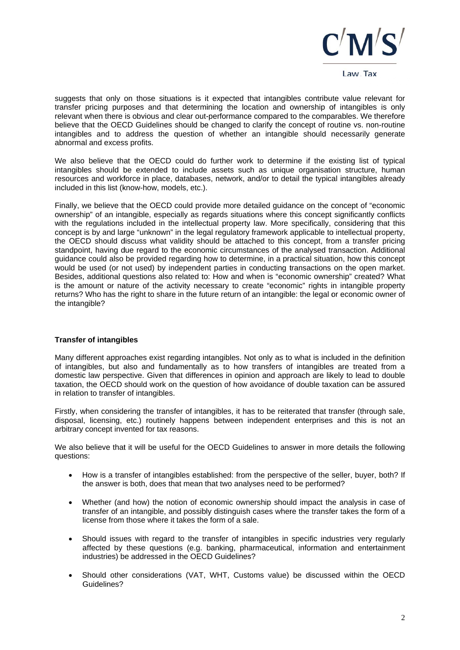

suggests that only on those situations is it expected that intangibles contribute value relevant for transfer pricing purposes and that determining the location and ownership of intangibles is only relevant when there is obvious and clear out-performance compared to the comparables. We therefore believe that the OECD Guidelines should be changed to clarify the concept of routine vs. non-routine intangibles and to address the question of whether an intangible should necessarily generate abnormal and excess profits.

We also believe that the OECD could do further work to determine if the existing list of typical intangibles should be extended to include assets such as unique organisation structure, human resources and workforce in place, databases, network, and/or to detail the typical intangibles already included in this list (know-how, models, etc.).

Finally, we believe that the OECD could provide more detailed guidance on the concept of "economic" ownership" of an intangible, especially as regards situations where this concept significantly conflicts with the regulations included in the intellectual property law. More specifically, considering that this concept is by and large "unknown" in the legal regulatory framework applicable to intellectual property, the OECD should discuss what validity should be attached to this concept, from a transfer pricing standpoint, having due regard to the economic circumstances of the analysed transaction. Additional quidance could also be provided regarding how to determine, in a practical situation, how this concept would be used (or not used) by independent parties in conducting transactions on the open market. Besides, additional questions also related to: How and when is "economic ownership" created? What is the amount or nature of the activity necessary to create "economic" rights in intangible property returns? Who has the right to share in the future return of an intangible; the legal or economic owner of the intangible?

## **Transfer of intangibles**

Many different approaches exist regarding intangibles. Not only as to what is included in the definition of intangibles, but also and fundamentally as to how transfers of intangibles are treated from a domestic law perspective. Given that differences in opinion and approach are likely to lead to double taxation, the OECD should work on the question of how avoidance of double taxation can be assured in relation to transfer of intangibles.

Firstly, when considering the transfer of intangibles, it has to be reiterated that transfer (through sale, disposal, licensing, etc.) routinely happens between independent enterprises and this is not an arbitrary concept invented for tax reasons.

We also believe that it will be useful for the OECD Guidelines to answer in more details the following questions:

- How is a transfer of intangibles established: from the perspective of the seller, buyer, both? If  $\bullet$ the answer is both, does that mean that two analyses need to be performed?
- Whether (and how) the notion of economic ownership should impact the analysis in case of transfer of an intangible, and possibly distinguish cases where the transfer takes the form of a license from those where it takes the form of a sale.
- Should issues with regard to the transfer of intangibles in specific industries very regularly  $\bullet$ affected by these questions (e.g. banking, pharmaceutical, information and entertainment industries) be addressed in the OECD Guidelines?
- Should other considerations (VAT, WHT, Customs value) be discussed within the OECD  $\bullet$ Guidelines?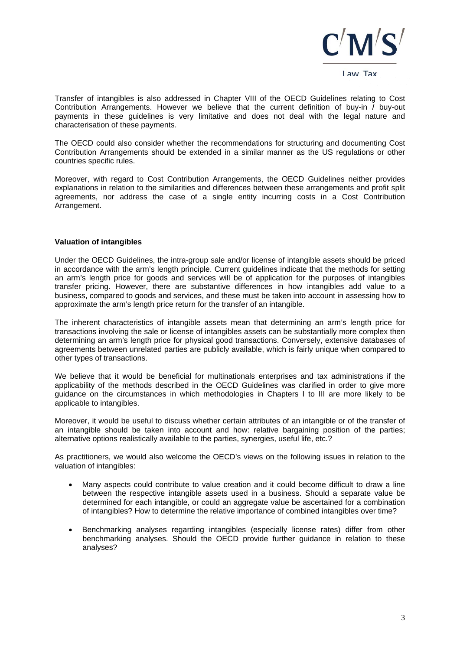

Transfer of intangibles is also addressed in Chapter VIII of the OECD Guidelines relating to Cost Contribution Arrangements. However we believe that the current definition of buy-in / buy-out payments in these quidelines is very limitative and does not deal with the legal nature and characterisation of these payments.

The OECD could also consider whether the recommendations for structuring and documenting Cost Contribution Arrangements should be extended in a similar manner as the US regulations or other countries specific rules.

Moreover, with regard to Cost Contribution Arrangements, the OECD Guidelines neither provides explanations in relation to the similarities and differences between these arrangements and profit split agreements, nor address the case of a single entity incurring costs in a Cost Contribution Arrangement.

### **Valuation of intangibles**

Under the OECD Guidelines, the intra-group sale and/or license of intangible assets should be priced in accordance with the arm's length principle. Current guidelines indicate that the methods for setting an arm's length price for goods and services will be of application for the purposes of intangibles transfer pricing. However, there are substantive differences in how intangibles add value to a business, compared to goods and services, and these must be taken into account in assessing how to approximate the arm's length price return for the transfer of an intangible.

The inherent characteristics of intangible assets mean that determining an arm's length price for transactions involving the sale or license of intangibles assets can be substantially more complex then determining an arm's length price for physical good transactions. Conversely, extensive databases of agreements between unrelated parties are publicly available, which is fairly unique when compared to other types of transactions.

We believe that it would be beneficial for multinationals enterprises and tax administrations if the applicability of the methods described in the OECD Guidelines was clarified in order to give more quidance on the circumstances in which methodologies in Chapters I to III are more likely to be applicable to intangibles.

Moreover, it would be useful to discuss whether certain attributes of an intangible or of the transfer of an intangible should be taken into account and how: relative bargaining position of the parties; alternative options realistically available to the parties, synergies, useful life, etc.?

As practitioners, we would also welcome the OECD's views on the following issues in relation to the valuation of intangibles:

- Many aspects could contribute to value creation and it could become difficult to draw a line between the respective intangible assets used in a business. Should a separate value be determined for each intangible, or could an aggregate value be ascertained for a combination of intangibles? How to determine the relative importance of combined intangibles over time?
- Benchmarking analyses regarding intangibles (especially license rates) differ from other benchmarking analyses. Should the OECD provide further guidance in relation to these analyses?